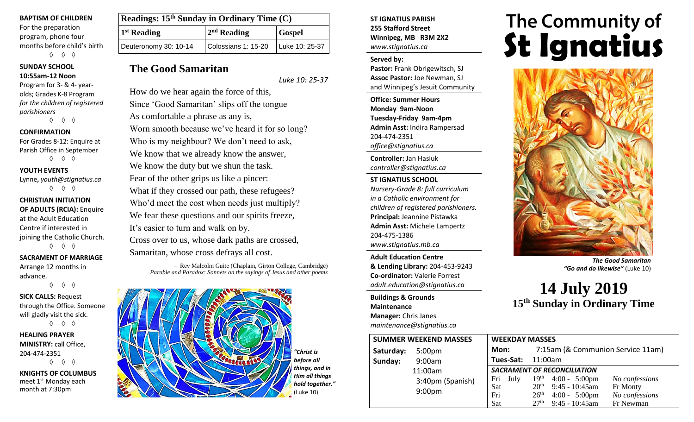#### **BAPTISM OF CHILDREN**

For the preparation program, phone four months before child's birth ◊ ◊ ◊

# **SUNDAY SCHOOL**

#### **10:55am-12 Noon**

Program for 3- & 4- yearolds; Grades K-8 Program *for the children of registered parishioners* ◊ ◊ ◊

**CONFIRMATION**

## For Grades 8-12: Enquire at Parish Office in September ◊ ◊ ◊

**YOUTH EVENTS**

# Lynne**,** *youth@stignatius.ca*

◊ ◊ ◊

## **CHRISTIAN INITIATION OF ADULTS (RCIA):** Enquire at the Adult Education Centre if interested in joining the Catholic Church. ◊ ◊ ◊

**SACRAMENT OF MARRIAGE** Arrange 12 months in

advance.

◊ ◊ ◊

**SICK CALLS:** Request through the Office. Someone will gladly visit the sick. ◊ ◊ ◊

**HEALING PRAYER MINISTRY:** call Office, 204-474-2351 ◊ ◊ ◊

**KNIGHTS OF COLUMBUS** meet 1<sup>st</sup> Monday each month at 7:30pm

| Readings: 15 <sup>th</sup> Sunday in Ordinary Time (C) |                     |                |  |
|--------------------------------------------------------|---------------------|----------------|--|
| <sup>1st</sup> Reading                                 | $2nd$ Reading       | <b>Gospel</b>  |  |
| Deuteronomy 30: 10-14                                  | Colossians 1: 15-20 | Luke 10: 25-37 |  |

# **The Good Samaritan**

*Luke 10: 25-37*

How do we hear again the force of this, Since 'Good Samaritan' slips off the tongue As comfortable a phrase as any is, Worn smooth because we've heard it for so long? Who is my neighbour? We don't need to ask, We know that we already know the answer, We know the duty but we shun the task. Fear of the other grips us like a pincer: What if they crossed our path, these refugees? Who'd meet the cost when needs just multiply? We fear these questions and our spirits freeze, It's easier to turn and walk on by. Cross over to us, whose dark paths are crossed, Samaritan, whose cross defrays all cost.

> – Rev Malcolm Guite (Chaplain, Girton College, Cambridge) *Parable and Paradox: Sonnets on the sayings of Jesus and other poems*



*"Christ is before all things, and in Him all things hold together."* (Luke 10)

## **ST IGNATIUS PARISH 255 Stafford Street Winnipeg, MB R3M 2X2** *www.stignatius.ca*

## **Served by:**

**Pastor:** Frank Obrigewitsch, SJ **Assoc Pastor:** Joe Newman, SJ and Winnipeg's Jesuit Community

**Office: Summer Hours Monday 9am-Noon Tuesday-Friday 9am-4pm Admin Asst:** Indira Rampersad 204-474-2351 *office@stignatius.ca*

**Controller:** Jan Hasiuk *controller@stignatius.ca*

## **ST IGNATIUS SCHOOL**

*Nursery-Grade 8: full curriculum in a Catholic environment for children of registered parishioners.* **Principal:** Jeannine Pistawka **Admin Asst:** Michele Lampertz 204-475-1386 *www.stignatius.mb.ca*

**Adult Education Centre & Lending Library:** 204-453-9243 **Co-ordinator:** Valerie Forrest *adult.education@stignatius.ca*

**Buildings & Grounds Maintenance Manager:** Chris Janes *maintenance@stignatius.ca*

# The Community of<br>**St Ignatius**



*The Good Samaritan "Go and do likewise"* (Luke 10)

**14 July 2019 15 th Sunday in Ordinary Time**

|           | <b>SUMMER WEEKEND MASSES</b> | <b>WEEKDAY MASSES</b>              |                  |                         |                                   |  |
|-----------|------------------------------|------------------------------------|------------------|-------------------------|-----------------------------------|--|
| Saturday: | 5:00 <sub>pm</sub>           | Mon:                               |                  |                         | 7:15am (& Communion Service 11am) |  |
| Sunday:   | 9:00am                       | Tues-Sat:                          | 11:00am          |                         |                                   |  |
|           | 11:00am                      | <b>SACRAMENT OF RECONCILIATION</b> |                  |                         |                                   |  |
|           | 3:40pm (Spanish)             | Fri<br>July                        |                  | $19th$ 4:00 - 5:00pm    | No confessions                    |  |
|           | 9:00 <sub>pm</sub>           | Sat                                | 20 <sup>th</sup> | $9:45 - 10:45$ am       | Fr Monty                          |  |
|           |                              | Fri                                | 26 <sup>th</sup> | $4:00 - 5:00 \text{pm}$ | No confessions                    |  |
|           |                              | Sat                                | 27 <sup>th</sup> | $9:45 - 10:45$ am       | Fr Newman                         |  |
|           |                              |                                    |                  |                         |                                   |  |